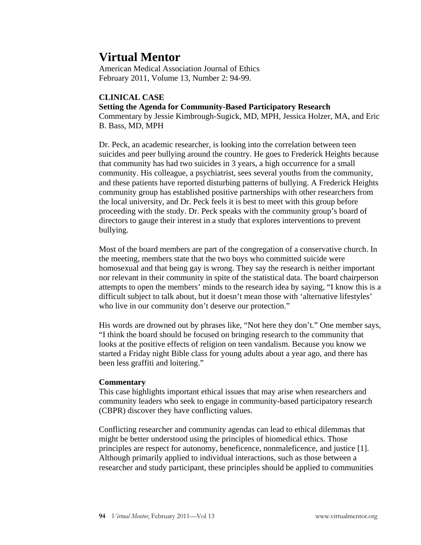# **Virtual Mentor**

American Medical Association Journal of Ethics February 2011, Volume 13, Number 2: 94-99.

# **CLINICAL CASE**

## **Setting the Agenda for Community-Based Participatory Research**

Commentary by Jessie Kimbrough-Sugick, MD, MPH, Jessica Holzer, MA, and Eric B. Bass, MD, MPH

Dr. Peck, an academic researcher, is looking into the correlation between teen suicides and peer bullying around the country. He goes to Frederick Heights because that community has had two suicides in 3 years, a high occurrence for a small community. His colleague, a psychiatrist, sees several youths from the community, and these patients have reported disturbing patterns of bullying. A Frederick Heights community group has established positive partnerships with other researchers from the local university, and Dr. Peck feels it is best to meet with this group before proceeding with the study. Dr. Peck speaks with the community group's board of directors to gauge their interest in a study that explores interventions to prevent bullying.

Most of the board members are part of the congregation of a conservative church. In the meeting, members state that the two boys who committed suicide were homosexual and that being gay is wrong. They say the research is neither important nor relevant in their community in spite of the statistical data. The board chairperson attempts to open the members' minds to the research idea by saying, "I know this is a difficult subject to talk about, but it doesn't mean those with 'alternative lifestyles' who live in our community don't deserve our protection."

His words are drowned out by phrases like, "Not here they don't." One member says, "I think the board should be focused on bringing research to the community that looks at the positive effects of religion on teen vandalism. Because you know we started a Friday night Bible class for young adults about a year ago, and there has been less graffiti and loitering."

# **Commentary**

This case highlights important ethical issues that may arise when researchers and community leaders who seek to engage in community-based participatory research (CBPR) discover they have conflicting values.

Conflicting researcher and community agendas can lead to ethical dilemmas that might be better understood using the principles of biomedical ethics. Those principles are respect for autonomy, beneficence, nonmaleficence, and justice [1]. Although primarily applied to individual interactions, such as those between a researcher and study participant, these principles should be applied to communities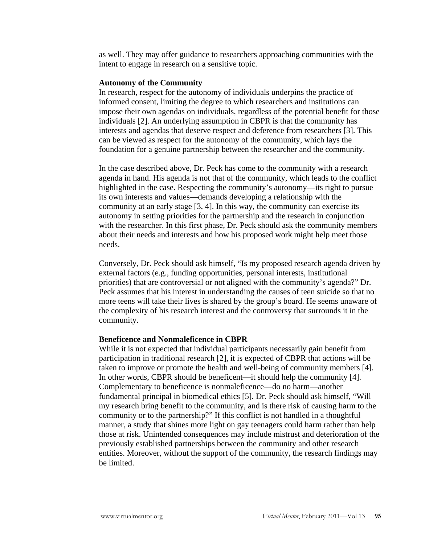as well. They may offer guidance to researchers approaching communities with the intent to engage in research on a sensitive topic.

#### **Autonomy of the Community**

In research, respect for the autonomy of individuals underpins the practice of informed consent, limiting the degree to which researchers and institutions can impose their own agendas on individuals, regardless of the potential benefit for those individuals [2]. An underlying assumption in CBPR is that the community has interests and agendas that deserve respect and deference from researchers [3]. This can be viewed as respect for the autonomy of the community, which lays the foundation for a genuine partnership between the researcher and the community.

In the case described above, Dr. Peck has come to the community with a research agenda in hand. His agenda is not that of the community, which leads to the conflict highlighted in the case. Respecting the community's autonomy—its right to pursue its own interests and values—demands developing a relationship with the community at an early stage [3, 4]. In this way, the community can exercise its autonomy in setting priorities for the partnership and the research in conjunction with the researcher. In this first phase, Dr. Peck should ask the community members about their needs and interests and how his proposed work might help meet those needs.

Conversely, Dr. Peck should ask himself, "Is my proposed research agenda driven by external factors (e.g., funding opportunities, personal interests, institutional priorities) that are controversial or not aligned with the community's agenda?" Dr. Peck assumes that his interest in understanding the causes of teen suicide so that no more teens will take their lives is shared by the group's board. He seems unaware of the complexity of his research interest and the controversy that surrounds it in the community.

#### **Beneficence and Nonmaleficence in CBPR**

While it is not expected that individual participants necessarily gain benefit from participation in traditional research [2], it is expected of CBPR that actions will be taken to improve or promote the health and well-being of community members [4]. In other words, CBPR should be beneficent—it should help the community [4]. Complementary to beneficence is nonmaleficence—do no harm—another fundamental principal in biomedical ethics [5]. Dr. Peck should ask himself, "Will my research bring benefit to the community, and is there risk of causing harm to the community or to the partnership?" If this conflict is not handled in a thoughtful manner, a study that shines more light on gay teenagers could harm rather than help those at risk. Unintended consequences may include mistrust and deterioration of the previously established partnerships between the community and other research entities. Moreover, without the support of the community, the research findings may be limited.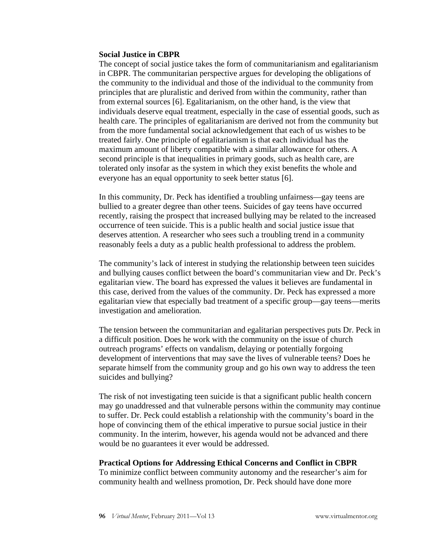#### **Social Justice in CBPR**

The concept of social justice takes the form of communitarianism and egalitarianism in CBPR. The communitarian perspective argues for developing the obligations of the community to the individual and those of the individual to the community from principles that are pluralistic and derived from within the community, rather than from external sources [6]. Egalitarianism, on the other hand, is the view that individuals deserve equal treatment, especially in the case of essential goods, such as health care. The principles of egalitarianism are derived not from the community but from the more fundamental social acknowledgement that each of us wishes to be treated fairly. One principle of egalitarianism is that each individual has the maximum amount of liberty compatible with a similar allowance for others. A second principle is that inequalities in primary goods, such as health care, are tolerated only insofar as the system in which they exist benefits the whole and everyone has an equal opportunity to seek better status [6].

In this community, Dr. Peck has identified a troubling unfairness—gay teens are bullied to a greater degree than other teens. Suicides of gay teens have occurred recently, raising the prospect that increased bullying may be related to the increased occurrence of teen suicide. This is a public health and social justice issue that deserves attention. A researcher who sees such a troubling trend in a community reasonably feels a duty as a public health professional to address the problem.

The community's lack of interest in studying the relationship between teen suicides and bullying causes conflict between the board's communitarian view and Dr. Peck's egalitarian view. The board has expressed the values it believes are fundamental in this case, derived from the values of the community. Dr. Peck has expressed a more egalitarian view that especially bad treatment of a specific group—gay teens—merits investigation and amelioration.

The tension between the communitarian and egalitarian perspectives puts Dr. Peck in a difficult position. Does he work with the community on the issue of church outreach programs' effects on vandalism, delaying or potentially forgoing development of interventions that may save the lives of vulnerable teens? Does he separate himself from the community group and go his own way to address the teen suicides and bullying?

The risk of not investigating teen suicide is that a significant public health concern may go unaddressed and that vulnerable persons within the community may continue to suffer. Dr. Peck could establish a relationship with the community's board in the hope of convincing them of the ethical imperative to pursue social justice in their community. In the interim, however, his agenda would not be advanced and there would be no guarantees it ever would be addressed.

### **Practical Options for Addressing Ethical Concerns and Conflict in CBPR**

To minimize conflict between community autonomy and the researcher's aim for community health and wellness promotion, Dr. Peck should have done more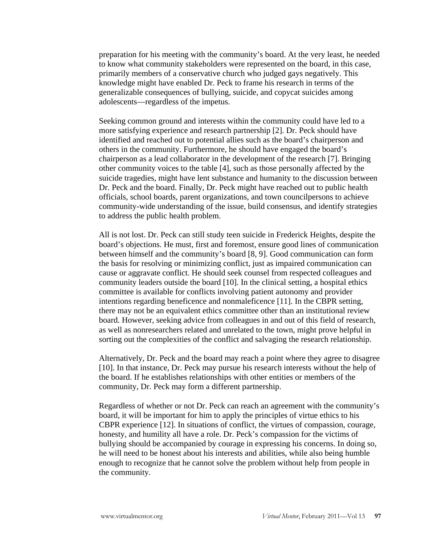preparation for his meeting with the community's board. At the very least, he needed to know what community stakeholders were represented on the board, in this case, primarily members of a conservative church who judged gays negatively. This knowledge might have enabled Dr. Peck to frame his research in terms of the generalizable consequences of bullying, suicide, and copycat suicides among adolescents—regardless of the impetus.

Seeking common ground and interests within the community could have led to a more satisfying experience and research partnership [2]. Dr. Peck should have identified and reached out to potential allies such as the board's chairperson and others in the community. Furthermore, he should have engaged the board's chairperson as a lead collaborator in the development of the research [7]. Bringing other community voices to the table [4], such as those personally affected by the suicide tragedies, might have lent substance and humanity to the discussion between Dr. Peck and the board. Finally, Dr. Peck might have reached out to public health officials, school boards, parent organizations, and town councilpersons to achieve community-wide understanding of the issue, build consensus, and identify strategies to address the public health problem.

All is not lost. Dr. Peck can still study teen suicide in Frederick Heights, despite the board's objections. He must, first and foremost, ensure good lines of communication between himself and the community's board [8, 9]. Good communication can form the basis for resolving or minimizing conflict, just as impaired communication can cause or aggravate conflict. He should seek counsel from respected colleagues and community leaders outside the board [10]. In the clinical setting, a hospital ethics committee is available for conflicts involving patient autonomy and provider intentions regarding beneficence and nonmaleficence [11]. In the CBPR setting, there may not be an equivalent ethics committee other than an institutional review board. However, seeking advice from colleagues in and out of this field of research, as well as nonresearchers related and unrelated to the town, might prove helpful in sorting out the complexities of the conflict and salvaging the research relationship.

Alternatively, Dr. Peck and the board may reach a point where they agree to disagree [10]. In that instance, Dr. Peck may pursue his research interests without the help of the board. If he establishes relationships with other entities or members of the community, Dr. Peck may form a different partnership.

Regardless of whether or not Dr. Peck can reach an agreement with the community's board, it will be important for him to apply the principles of virtue ethics to his CBPR experience [12]. In situations of conflict, the virtues of compassion, courage, honesty, and humility all have a role. Dr. Peck's compassion for the victims of bullying should be accompanied by courage in expressing his concerns. In doing so, he will need to be honest about his interests and abilities, while also being humble enough to recognize that he cannot solve the problem without help from people in the community.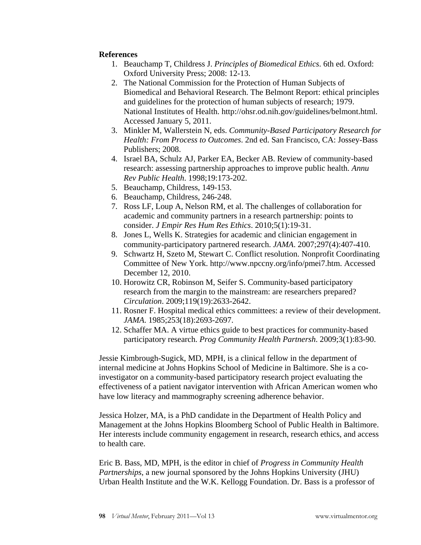## **References**

- 1. Beauchamp T, Childress J. *Principles of Biomedical Ethics*. 6th ed. Oxford: Oxford University Press; 2008: 12-13.
- 2. The National Commission for the Protection of Human Subjects of Biomedical and Behavioral Research. The Belmont Report: ethical principles and guidelines for the protection of human subjects of research; 1979. National Institutes of Health. http://ohsr.od.nih.gov/guidelines/belmont.html. Accessed January 5, 2011.
- 3. Minkler M, Wallerstein N, eds. *Community-Based Participatory Research for Health: From Process to Outcomes*. 2nd ed. San Francisco, CA: Jossey-Bass Publishers; 2008.
- 4. Israel BA, Schulz AJ, Parker EA, Becker AB. Review of community-based research: assessing partnership approaches to improve public health. *Annu Rev Public Health*. 1998;19:173-202.
- 5. Beauchamp, Childress, 149-153.
- 6. Beauchamp, Childress, 246-248.
- 7. Ross LF, Loup A, Nelson RM, et al. The challenges of collaboration for academic and community partners in a research partnership: points to consider. *J Empir Res Hum Res Ethics*. 2010;5(1):19-31.
- 8. Jones L, Wells K. Strategies for academic and clinician engagement in community-participatory partnered research. *JAMA*. 2007;297(4):407-410.
- 9. Schwartz H, Szeto M, Stewart C. Conflict resolution. Nonprofit Coordinating Committee of New York. http://www.npccny.org/info/pmei7.htm. Accessed December 12, 2010.
- 10. Horowitz CR, Robinson M, Seifer S. Community-based participatory research from the margin to the mainstream: are researchers prepared? *Circulation*. 2009;119(19):2633-2642.
- 11. Rosner F. Hospital medical ethics committees: a review of their development. *JAMA*. 1985;253(18):2693-2697.
- 12. Schaffer MA. A virtue ethics guide to best practices for community-based participatory research. *Prog Community Health Partnersh*. 2009;3(1):83-90.

Jessie Kimbrough-Sugick, MD, MPH, is a clinical fellow in the department of internal medicine at Johns Hopkins School of Medicine in Baltimore. She is a coinvestigator on a community-based participatory research project evaluating the effectiveness of a patient navigator intervention with African American women who have low literacy and mammography screening adherence behavior.

Jessica Holzer, MA, is a PhD candidate in the Department of Health Policy and Management at the Johns Hopkins Bloomberg School of Public Health in Baltimore. Her interests include community engagement in research, research ethics, and access to health care.

Eric B. Bass, MD, MPH, is the editor in chief of *Progress in Community Health Partnerships*, a new journal sponsored by the Johns Hopkins University (JHU) Urban Health Institute and the W.K. Kellogg Foundation. Dr. Bass is a professor of